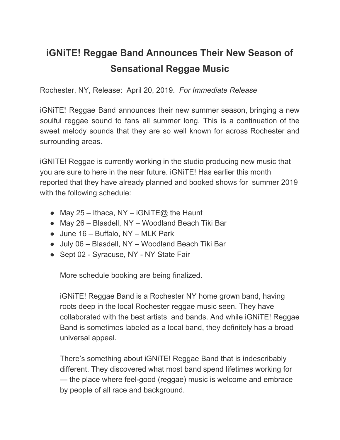## **iGNiTE! Reggae Band Announces Their New Season of Sensational Reggae Music**

Rochester, NY, Release: April 20, 2019. *For Immediate Release*

iGNiTE! Reggae Band announces their new summer season, bringing a new soulful reggae sound to fans all summer long. This is a continuation of the sweet melody sounds that they are so well known for across Rochester and surrounding areas.

iGNITE! Reggae is currently working in the studio producing new music that you are sure to here in the near future. iGNiTE! Has earlier this month reported that they have already planned and booked shows for summer 2019 with the following schedule:

- May 25 Ithaca, NY iGNiTE@ the Haunt
- May 26 Blasdell, NY Woodland Beach Tiki Bar
- $\bullet$  June 16 Buffalo, NY MLK Park
- July 06 Blasdell, NY Woodland Beach Tiki Bar
- Sept 02 Syracuse, NY NY State Fair

More schedule booking are being finalized.

iGNiTE! Reggae Band is a Rochester NY home grown band, having roots deep in the local Rochester reggae music seen. They have collaborated with the best artists and bands. And while iGNiTE! Reggae Band is sometimes labeled as a local band, they definitely has a broad universal appeal.

There's something about iGNiTE! Reggae Band that is indescribably different. They discovered what most band spend lifetimes working for — the place where feel-good (reggae) music is welcome and embrace by people of all race and background.